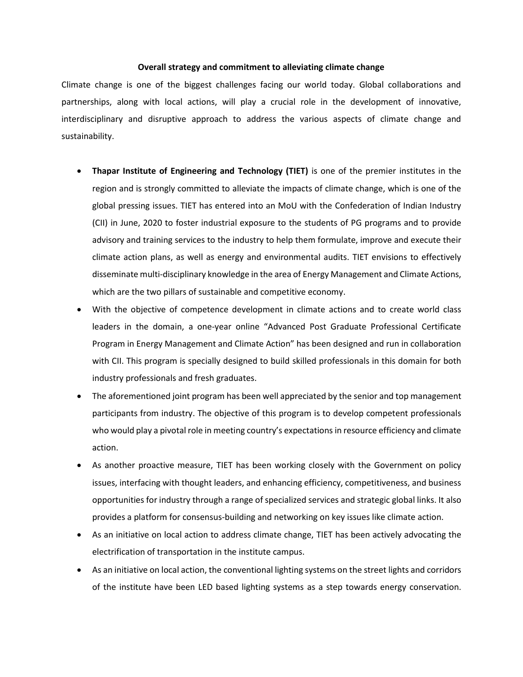## **Overall strategy and commitment to alleviating climate change**

Climate change is one of the biggest challenges facing our world today. Global collaborations and partnerships, along with local actions, will play a crucial role in the development of innovative, interdisciplinary and disruptive approach to address the various aspects of climate change and sustainability.

- **Thapar Institute of Engineering and Technology (TIET)** is one of the premier institutes in the region and is strongly committed to alleviate the impacts of climate change, which is one of the global pressing issues. TIET has entered into an MoU with the Confederation of Indian Industry (CII) in June, 2020 to foster industrial exposure to the students of PG programs and to provide advisory and training services to the industry to help them formulate, improve and execute their climate action plans, as well as energy and environmental audits. TIET envisions to effectively disseminate multi-disciplinary knowledge in the area of Energy Management and Climate Actions, which are the two pillars of sustainable and competitive economy.
- With the objective of competence development in climate actions and to create world class leaders in the domain, a one-year online "Advanced Post Graduate Professional Certificate Program in Energy Management and Climate Action" has been designed and run in collaboration with CII. This program is specially designed to build skilled professionals in this domain for both industry professionals and fresh graduates.
- The aforementioned joint program has been well appreciated by the senior and top management participants from industry. The objective of this program is to develop competent professionals who would play a pivotal role in meeting country's expectations in resource efficiency and climate action.
- As another proactive measure, TIET has been working closely with the Government on policy issues, interfacing with thought leaders, and enhancing efficiency, competitiveness, and business opportunities for industry through a range of specialized services and strategic global links. It also provides a platform for consensus-building and networking on key issues like climate action.
- As an initiative on local action to address climate change, TIET has been actively advocating the electrification of transportation in the institute campus.
- As an initiative on local action, the conventional lighting systems on the street lights and corridors of the institute have been LED based lighting systems as a step towards energy conservation.